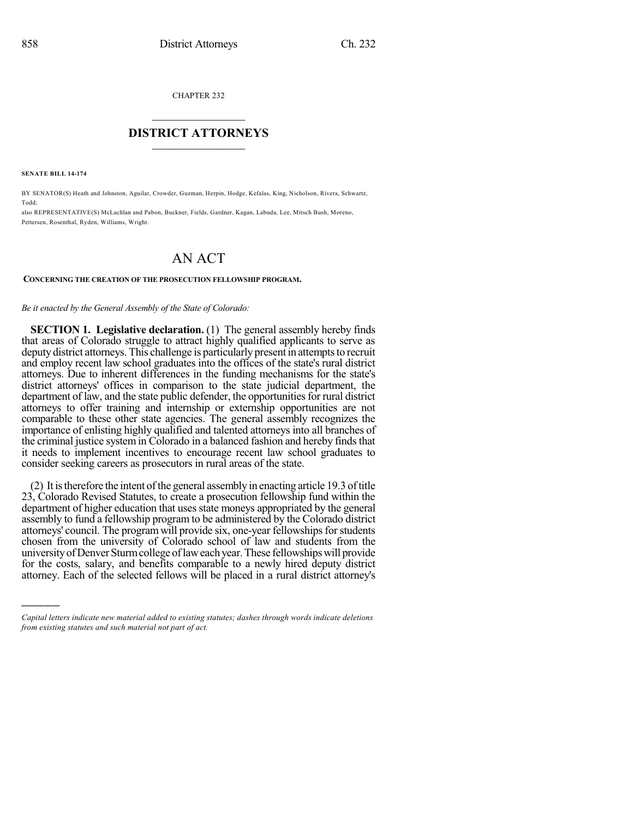CHAPTER 232

# $\overline{\phantom{a}}$  . The set of the set of the set of the set of the set of the set of the set of the set of the set of the set of the set of the set of the set of the set of the set of the set of the set of the set of the set o **DISTRICT ATTORNEYS**  $\_$   $\_$   $\_$   $\_$   $\_$   $\_$   $\_$   $\_$

**SENATE BILL 14-174**

)))))

BY SENATOR(S) Heath and Johnston, Aguilar, Crowder, Guzman, Herpin, Hodge, Kefalas, King, Nicholson, Rivera, Schwartz, Todd;

also REPRESENTATIVE(S) McLachlan and Pabon, Buckner, Fields, Gardner, Kagan, Labuda, Lee, Mitsch Bush, Moreno, Pettersen, Rosenthal, Ryden, Williams, Wright.

## AN ACT

### **CONCERNING THE CREATION OF THE PROSECUTION FELLOWSHIP PROGRAM.**

#### *Be it enacted by the General Assembly of the State of Colorado:*

**SECTION 1. Legislative declaration.** (1) The general assembly hereby finds that areas of Colorado struggle to attract highly qualified applicants to serve as deputy district attorneys. This challenge is particularly present in attempts to recruit and employ recent law school graduates into the offices of the state's rural district attorneys. Due to inherent differences in the funding mechanisms for the state's district attorneys' offices in comparison to the state judicial department, the department of law, and the state public defender, the opportunities for rural district attorneys to offer training and internship or externship opportunities are not comparable to these other state agencies. The general assembly recognizes the importance of enlisting highly qualified and talented attorneys into all branches of the criminal justice system in Colorado in a balanced fashion and hereby finds that it needs to implement incentives to encourage recent law school graduates to consider seeking careers as prosecutors in rural areas of the state.

 $(2)$  It is therefore the intent of the general assembly in enacting article 19.3 of title 23, Colorado Revised Statutes, to create a prosecution fellowship fund within the department of higher education that uses state moneys appropriated by the general assembly to fund a fellowship program to be administered by the Colorado district attorneys' council. The program will provide six, one-year fellowships for students chosen from the university of Colorado school of law and students from the universityofDenverSturmcollege oflaweachyear.These fellowshipswill provide for the costs, salary, and benefits comparable to a newly hired deputy district attorney. Each of the selected fellows will be placed in a rural district attorney's

*Capital letters indicate new material added to existing statutes; dashes through words indicate deletions from existing statutes and such material not part of act.*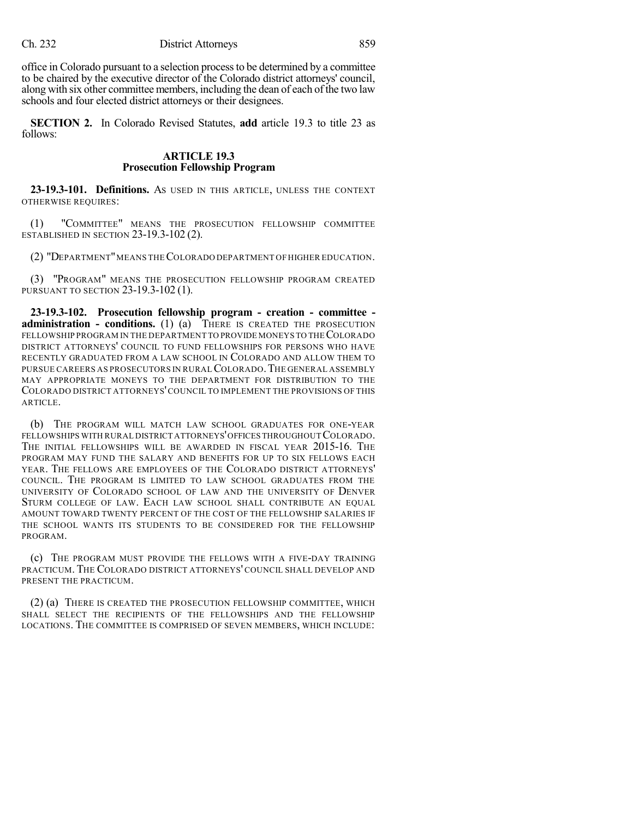office in Colorado pursuant to a selection processto be determined by a committee to be chaired by the executive director of the Colorado district attorneys' council, along with six other committee members, including the dean of each of the two law schools and four elected district attorneys or their designees.

**SECTION 2.** In Colorado Revised Statutes, **add** article 19.3 to title 23 as follows:

### **ARTICLE 19.3 Prosecution Fellowship Program**

**23-19.3-101. Definitions.** AS USED IN THIS ARTICLE, UNLESS THE CONTEXT OTHERWISE REQUIRES:

(1) "COMMITTEE" MEANS THE PROSECUTION FELLOWSHIP COMMITTEE ESTABLISHED IN SECTION 23-19.3-102 (2).

(2) "DEPARTMENT"MEANS THECOLORADO DEPARTMENT OF HIGHER EDUCATION.

(3) "PROGRAM" MEANS THE PROSECUTION FELLOWSHIP PROGRAM CREATED PURSUANT TO SECTION 23-19.3-102 (1).

**23-19.3-102. Prosecution fellowship program - creation - committee administration - conditions.** (1) (a) THERE IS CREATED THE PROSECUTION FELLOWSHIP PROGRAM IN THE DEPARTMENT TO PROVIDE MONEYS TO THE COLORADO DISTRICT ATTORNEYS' COUNCIL TO FUND FELLOWSHIPS FOR PERSONS WHO HAVE RECENTLY GRADUATED FROM A LAW SCHOOL IN COLORADO AND ALLOW THEM TO PURSUE CAREERS AS PROSECUTORS IN RURALCOLORADO.THE GENERAL ASSEMBLY MAY APPROPRIATE MONEYS TO THE DEPARTMENT FOR DISTRIBUTION TO THE COLORADO DISTRICT ATTORNEYS'COUNCIL TO IMPLEMENT THE PROVISIONS OF THIS ARTICLE.

(b) THE PROGRAM WILL MATCH LAW SCHOOL GRADUATES FOR ONE-YEAR FELLOWSHIPS WITH RURAL DISTRICT ATTORNEYS' OFFICES THROUGHOUT COLORADO. THE INITIAL FELLOWSHIPS WILL BE AWARDED IN FISCAL YEAR 2015-16. THE PROGRAM MAY FUND THE SALARY AND BENEFITS FOR UP TO SIX FELLOWS EACH YEAR. THE FELLOWS ARE EMPLOYEES OF THE COLORADO DISTRICT ATTORNEYS' COUNCIL. THE PROGRAM IS LIMITED TO LAW SCHOOL GRADUATES FROM THE UNIVERSITY OF COLORADO SCHOOL OF LAW AND THE UNIVERSITY OF DENVER STURM COLLEGE OF LAW. EACH LAW SCHOOL SHALL CONTRIBUTE AN EQUAL AMOUNT TOWARD TWENTY PERCENT OF THE COST OF THE FELLOWSHIP SALARIES IF THE SCHOOL WANTS ITS STUDENTS TO BE CONSIDERED FOR THE FELLOWSHIP PROGRAM.

(c) THE PROGRAM MUST PROVIDE THE FELLOWS WITH A FIVE-DAY TRAINING PRACTICUM. THE COLORADO DISTRICT ATTORNEYS' COUNCIL SHALL DEVELOP AND PRESENT THE PRACTICUM.

(2) (a) THERE IS CREATED THE PROSECUTION FELLOWSHIP COMMITTEE, WHICH SHALL SELECT THE RECIPIENTS OF THE FELLOWSHIPS AND THE FELLOWSHIP LOCATIONS. THE COMMITTEE IS COMPRISED OF SEVEN MEMBERS, WHICH INCLUDE: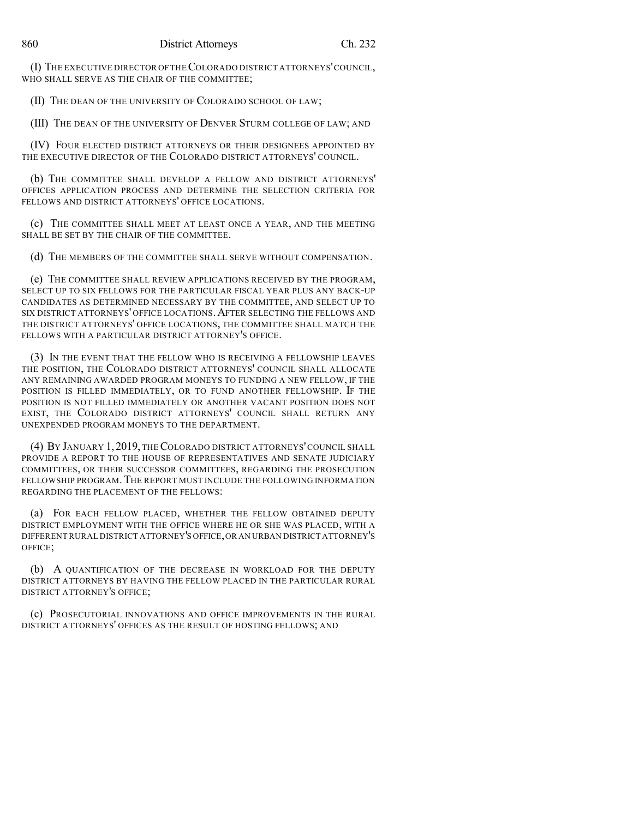(I) THE EXECUTIVE DIRECTOR OFTHECOLORADO DISTRICT ATTORNEYS'COUNCIL, WHO SHALL SERVE AS THE CHAIR OF THE COMMITTEE;

(II) THE DEAN OF THE UNIVERSITY OF COLORADO SCHOOL OF LAW;

(III) THE DEAN OF THE UNIVERSITY OF DENVER STURM COLLEGE OF LAW; AND

(IV) FOUR ELECTED DISTRICT ATTORNEYS OR THEIR DESIGNEES APPOINTED BY THE EXECUTIVE DIRECTOR OF THE COLORADO DISTRICT ATTORNEYS' COUNCIL.

(b) THE COMMITTEE SHALL DEVELOP A FELLOW AND DISTRICT ATTORNEYS' OFFICES APPLICATION PROCESS AND DETERMINE THE SELECTION CRITERIA FOR FELLOWS AND DISTRICT ATTORNEYS' OFFICE LOCATIONS.

(c) THE COMMITTEE SHALL MEET AT LEAST ONCE A YEAR, AND THE MEETING SHALL BE SET BY THE CHAIR OF THE COMMITTEE.

(d) THE MEMBERS OF THE COMMITTEE SHALL SERVE WITHOUT COMPENSATION.

(e) THE COMMITTEE SHALL REVIEW APPLICATIONS RECEIVED BY THE PROGRAM, SELECT UP TO SIX FELLOWS FOR THE PARTICULAR FISCAL YEAR PLUS ANY BACK-UP CANDIDATES AS DETERMINED NECESSARY BY THE COMMITTEE, AND SELECT UP TO SIX DISTRICT ATTORNEYS' OFFICE LOCATIONS.AFTER SELECTING THE FELLOWS AND THE DISTRICT ATTORNEYS' OFFICE LOCATIONS, THE COMMITTEE SHALL MATCH THE FELLOWS WITH A PARTICULAR DISTRICT ATTORNEY'S OFFICE.

(3) IN THE EVENT THAT THE FELLOW WHO IS RECEIVING A FELLOWSHIP LEAVES THE POSITION, THE COLORADO DISTRICT ATTORNEYS' COUNCIL SHALL ALLOCATE ANY REMAINING AWARDED PROGRAM MONEYS TO FUNDING A NEW FELLOW, IF THE POSITION IS FILLED IMMEDIATELY, OR TO FUND ANOTHER FELLOWSHIP. IF THE POSITION IS NOT FILLED IMMEDIATELY OR ANOTHER VACANT POSITION DOES NOT EXIST, THE COLORADO DISTRICT ATTORNEYS' COUNCIL SHALL RETURN ANY UNEXPENDED PROGRAM MONEYS TO THE DEPARTMENT.

(4) BY JANUARY 1, 2019, THE COLORADO DISTRICT ATTORNEYS'COUNCIL SHALL PROVIDE A REPORT TO THE HOUSE OF REPRESENTATIVES AND SENATE JUDICIARY COMMITTEES, OR THEIR SUCCESSOR COMMITTEES, REGARDING THE PROSECUTION FELLOWSHIP PROGRAM.THE REPORT MUST INCLUDE THE FOLLOWING INFORMATION REGARDING THE PLACEMENT OF THE FELLOWS:

(a) FOR EACH FELLOW PLACED, WHETHER THE FELLOW OBTAINED DEPUTY DISTRICT EMPLOYMENT WITH THE OFFICE WHERE HE OR SHE WAS PLACED, WITH A DIFFERENT RURAL DISTRICT ATTORNEY'S OFFICE,OR AN URBAN DISTRICT ATTORNEY'S OFFICE;

(b) A QUANTIFICATION OF THE DECREASE IN WORKLOAD FOR THE DEPUTY DISTRICT ATTORNEYS BY HAVING THE FELLOW PLACED IN THE PARTICULAR RURAL DISTRICT ATTORNEY'S OFFICE;

(c) PROSECUTORIAL INNOVATIONS AND OFFICE IMPROVEMENTS IN THE RURAL DISTRICT ATTORNEYS' OFFICES AS THE RESULT OF HOSTING FELLOWS; AND